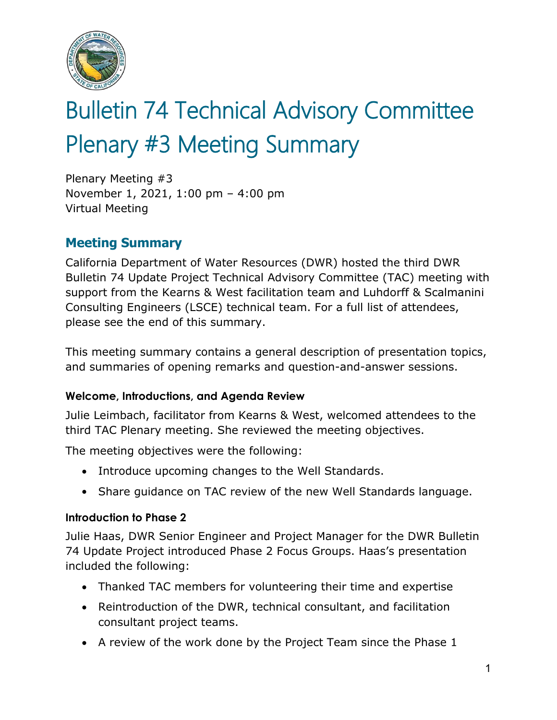

# Bulletin 74 Technical Advisory Committee Plenary #3 Meeting Summary

Plenary Meeting #3 November 1, 2021, 1:00 pm – 4:00 pm Virtual Meeting

# **Meeting Summary**

California Department of Water Resources (DWR) hosted the third DWR Bulletin 74 Update Project Technical Advisory Committee (TAC) meeting with support from the Kearns & West facilitation team and Luhdorff & Scalmanini Consulting Engineers (LSCE) technical team. For a full list of attendees, please see the end of this summary.

This meeting summary contains a general description of presentation topics, and summaries of opening remarks and question-and-answer sessions.

### **Welcome, Introductions, and Agenda Review**

Julie Leimbach, facilitator from Kearns & West, welcomed attendees to the third TAC Plenary meeting. She reviewed the meeting objectives.

The meeting objectives were the following:

- Introduce upcoming changes to the Well Standards.
- Share guidance on TAC review of the new Well Standards language.

#### **Introduction to Phase 2**

Julie Haas, DWR Senior Engineer and Project Manager for the DWR Bulletin 74 Update Project introduced Phase 2 Focus Groups. Haas's presentation included the following:

- Thanked TAC members for volunteering their time and expertise
- Reintroduction of the DWR, technical consultant, and facilitation consultant project teams.
- A review of the work done by the Project Team since the Phase 1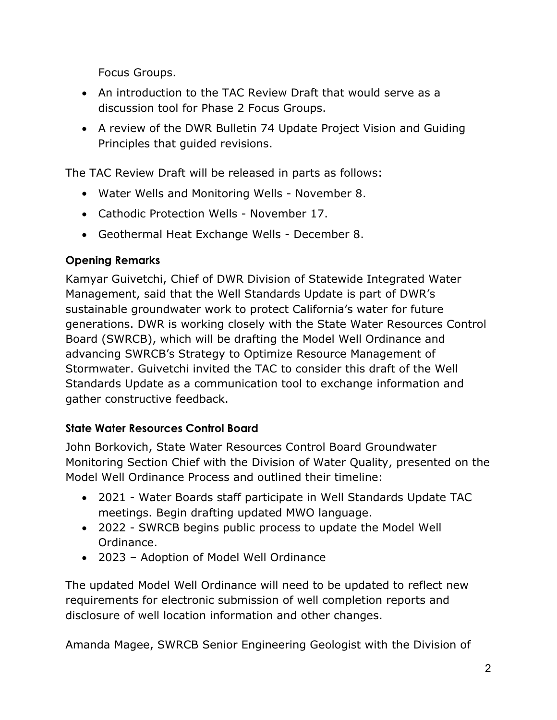Focus Groups.

- An introduction to the TAC Review Draft that would serve as a discussion tool for Phase 2 Focus Groups.
- A review of the DWR Bulletin 74 Update Project Vision and Guiding Principles that guided revisions.

The TAC Review Draft will be released in parts as follows:

- Water Wells and Monitoring Wells November 8.
- Cathodic Protection Wells November 17.
- Geothermal Heat Exchange Wells December 8.

## **Opening Remarks**

Kamyar Guivetchi, Chief of DWR Division of Statewide Integrated Water Management, said that the Well Standards Update is part of DWR's sustainable groundwater work to protect California's water for future generations. DWR is working closely with the State Water Resources Control Board (SWRCB), which will be drafting the Model Well Ordinance and advancing SWRCB's Strategy to Optimize Resource Management of Stormwater. Guivetchi invited the TAC to consider this draft of the Well Standards Update as a communication tool to exchange information and gather constructive feedback.

## **State Water Resources Control Board**

John Borkovich, State Water Resources Control Board Groundwater Monitoring Section Chief with the Division of Water Quality, presented on the Model Well Ordinance Process and outlined their timeline:

- 2021 Water Boards staff participate in Well Standards Update TAC meetings. Begin drafting updated MWO language.
- 2022 SWRCB begins public process to update the Model Well Ordinance.
- 2023 Adoption of Model Well Ordinance

The updated Model Well Ordinance will need to be updated to reflect new requirements for electronic submission of well completion reports and disclosure of well location information and other changes.

Amanda Magee, SWRCB Senior Engineering Geologist with the Division of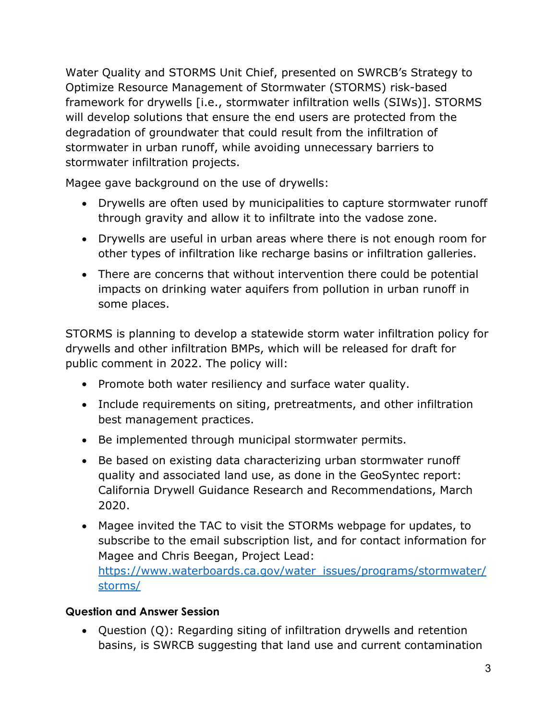Water Quality and STORMS Unit Chief, presented on SWRCB's Strategy to Optimize Resource Management of Stormwater (STORMS) risk-based framework for drywells [i.e., stormwater infiltration wells (SIWs)]. STORMS will develop solutions that ensure the end users are protected from the degradation of groundwater that could result from the infiltration of stormwater in urban runoff, while avoiding unnecessary barriers to stormwater infiltration projects.

Magee gave background on the use of drywells:

- Drywells are often used by municipalities to capture stormwater runoff through gravity and allow it to infiltrate into the vadose zone.
- Drywells are useful in urban areas where there is not enough room for other types of infiltration like recharge basins or infiltration galleries.
- There are concerns that without intervention there could be potential impacts on drinking water aquifers from pollution in urban runoff in some places.

STORMS is planning to develop a statewide storm water infiltration policy for drywells and other infiltration BMPs, which will be released for draft for public comment in 2022. The policy will:

- Promote both water resiliency and surface water quality.
- Include requirements on siting, pretreatments, and other infiltration best management practices.
- Be implemented through municipal stormwater permits.
- Be based on existing data characterizing urban stormwater runoff quality and associated land use, as done in the GeoSyntec report: California Drywell Guidance Research and Recommendations, March 2020.
- Magee invited the TAC to visit the STORMs webpage for updates, to subscribe to the email subscription list, and for contact information for Magee and Chris Beegan, Project Lead: [https://www.waterboards.ca.gov/water\\_issues/programs/stormwater/](https://www.waterboards.ca.gov/water_issues/programs/stormwater/storms/) [storms/](https://www.waterboards.ca.gov/water_issues/programs/stormwater/storms/)

### **Question and Answer Session**

• Question (Q): Regarding siting of infiltration drywells and retention basins, is SWRCB suggesting that land use and current contamination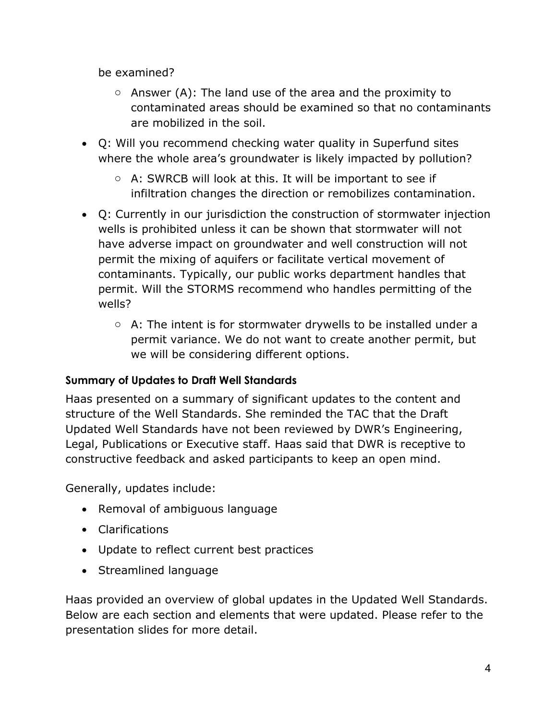be examined?

- $\circ$  Answer (A): The land use of the area and the proximity to contaminated areas should be examined so that no contaminants are mobilized in the soil.
- Q: Will you recommend checking water quality in Superfund sites where the whole area's groundwater is likely impacted by pollution?
	- o A: SWRCB will look at this. It will be important to see if infiltration changes the direction or remobilizes contamination.
- Q: Currently in our jurisdiction the construction of stormwater injection wells is prohibited unless it can be shown that stormwater will not have adverse impact on groundwater and well construction will not permit the mixing of aquifers or facilitate vertical movement of contaminants. Typically, our public works department handles that permit. Will the STORMS recommend who handles permitting of the wells?
	- $\circ$  A: The intent is for stormwater drywells to be installed under a permit variance. We do not want to create another permit, but we will be considering different options.

### **Summary of Updates to Draft Well Standards**

Haas presented on a summary of significant updates to the content and structure of the Well Standards. She reminded the TAC that the Draft Updated Well Standards have not been reviewed by DWR's Engineering, Legal, Publications or Executive staff. Haas said that DWR is receptive to constructive feedback and asked participants to keep an open mind.

Generally, updates include:

- Removal of ambiguous language
- Clarifications
- Update to reflect current best practices
- Streamlined language

Haas provided an overview of global updates in the Updated Well Standards. Below are each section and elements that were updated. Please refer to the presentation slides for more detail.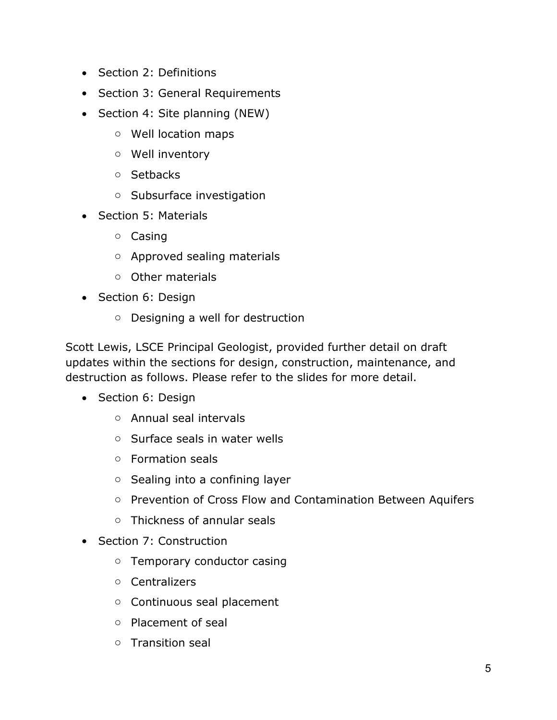- Section 2: Definitions
- Section 3: General Requirements
- Section 4: Site planning (NEW)
	- o Well location maps
	- o Well inventory
	- o Setbacks
	- o Subsurface investigation
- Section 5: Materials
	- o Casing
	- o Approved sealing materials
	- o Other materials
- Section 6: Design
	- o Designing a well for destruction

Scott Lewis, LSCE Principal Geologist, provided further detail on draft updates within the sections for design, construction, maintenance, and destruction as follows. Please refer to the slides for more detail.

- Section 6: Design
	- o Annual seal intervals
	- o Surface seals in water wells
	- o Formation seals
	- o Sealing into a confining layer
	- o Prevention of Cross Flow and Contamination Between Aquifers
	- o Thickness of annular seals
- Section 7: Construction
	- o Temporary conductor casing
	- o Centralizers
	- o Continuous seal placement
	- o Placement of seal
	- o Transition seal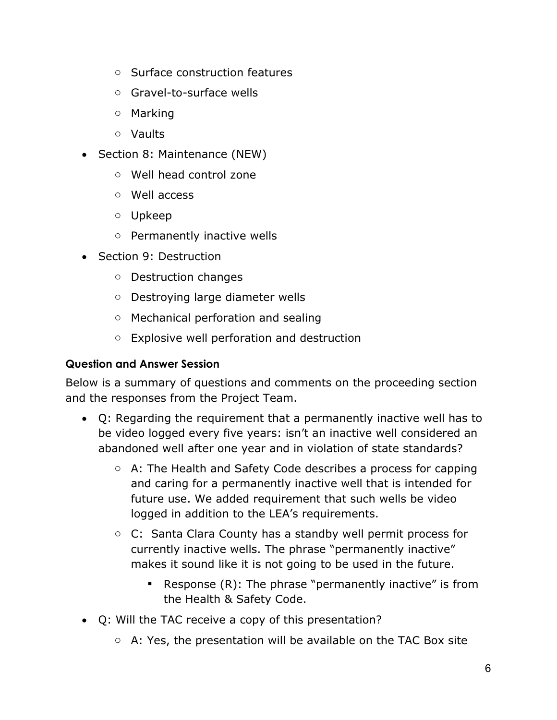- o Surface construction features
- o Gravel-to-surface wells
- o Marking
- o Vaults
- Section 8: Maintenance (NEW)
	- o Well head control zone
	- o Well access
	- o Upkeep
	- o Permanently inactive wells
- Section 9: Destruction
	- o Destruction changes
	- o Destroying large diameter wells
	- o Mechanical perforation and sealing
	- o Explosive well perforation and destruction

#### **Question and Answer Session**

Below is a summary of questions and comments on the proceeding section and the responses from the Project Team.

- Q: Regarding the requirement that a permanently inactive well has to be video logged every five years: isn't an inactive well considered an abandoned well after one year and in violation of state standards?
	- o A: The Health and Safety Code describes a process for capping and caring for a permanently inactive well that is intended for future use. We added requirement that such wells be video logged in addition to the LEA's requirements.
	- o C: Santa Clara County has a standby well permit process for currently inactive wells. The phrase "permanently inactive" makes it sound like it is not going to be used in the future.
		- **•** Response (R): The phrase "permanently inactive" is from the Health & Safety Code.
- Q: Will the TAC receive a copy of this presentation?
	- $\circ$  A: Yes, the presentation will be available on the TAC Box site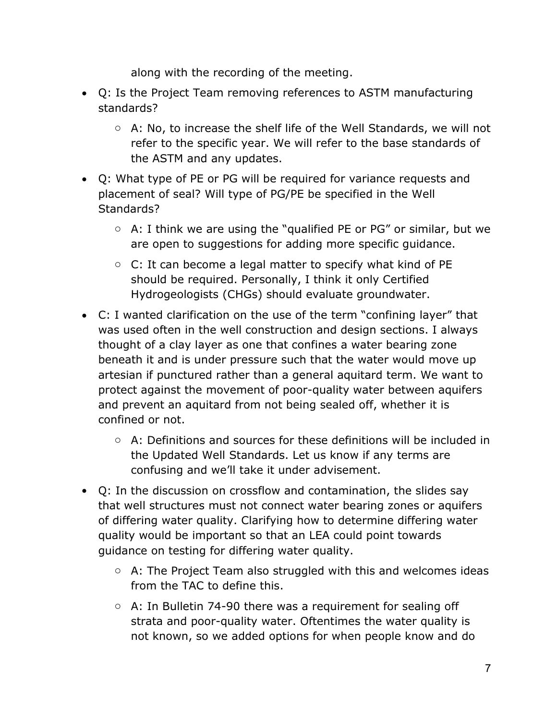along with the recording of the meeting.

- Q: Is the Project Team removing references to ASTM manufacturing standards?
	- $\circ$  A: No, to increase the shelf life of the Well Standards, we will not refer to the specific year. We will refer to the base standards of the ASTM and any updates.
- Q: What type of PE or PG will be required for variance requests and placement of seal? Will type of PG/PE be specified in the Well Standards?
	- $\circ$  A: I think we are using the "qualified PE or PG" or similar, but we are open to suggestions for adding more specific guidance.
	- $\circ$  C: It can become a legal matter to specify what kind of PE should be required. Personally, I think it only Certified Hydrogeologists (CHGs) should evaluate groundwater.
- C: I wanted clarification on the use of the term "confining layer" that was used often in the well construction and design sections. I always thought of a clay layer as one that confines a water bearing zone beneath it and is under pressure such that the water would move up artesian if punctured rather than a general aquitard term. We want to protect against the movement of poor-quality water between aquifers and prevent an aquitard from not being sealed off, whether it is confined or not.
	- o A: Definitions and sources for these definitions will be included in the Updated Well Standards. Let us know if any terms are confusing and we'll take it under advisement.
- Q: In the discussion on crossflow and contamination, the slides say that well structures must not connect water bearing zones or aquifers of differing water quality. Clarifying how to determine differing water quality would be important so that an LEA could point towards guidance on testing for differing water quality.
	- $\circ$  A: The Project Team also struggled with this and welcomes ideas from the TAC to define this.
	- $\circ$  A: In Bulletin 74-90 there was a requirement for sealing off strata and poor-quality water. Oftentimes the water quality is not known, so we added options for when people know and do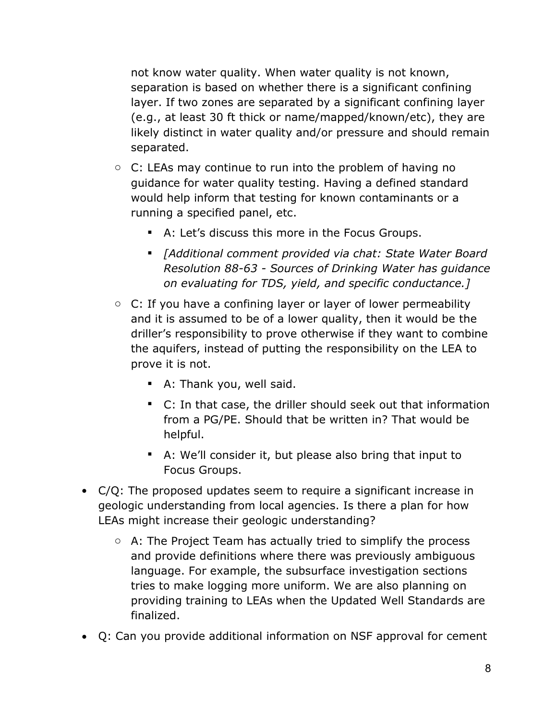not know water quality. When water quality is not known, separation is based on whether there is a significant confining layer. If two zones are separated by a significant confining layer (e.g., at least 30 ft thick or name/mapped/known/etc), they are likely distinct in water quality and/or pressure and should remain separated.

- C: LEAs may continue to run into the problem of having no guidance for water quality testing. Having a defined standard would help inform that testing for known contaminants or a running a specified panel, etc.
	- A: Let's discuss this more in the Focus Groups.
	- *[Additional comment provided via chat: State Water Board Resolution 88-63 - Sources of Drinking Water has guidance on evaluating for TDS, yield, and specific conductance.]*
- $\circ$  C: If you have a confining layer or layer of lower permeability and it is assumed to be of a lower quality, then it would be the driller's responsibility to prove otherwise if they want to combine the aquifers, instead of putting the responsibility on the LEA to prove it is not.
	- A: Thank you, well said.
	- C: In that case, the driller should seek out that information from a PG/PE. Should that be written in? That would be helpful.
	- A: We'll consider it, but please also bring that input to Focus Groups.
- C/Q: The proposed updates seem to require a significant increase in geologic understanding from local agencies. Is there a plan for how LEAs might increase their geologic understanding?
	- o A: The Project Team has actually tried to simplify the process and provide definitions where there was previously ambiguous language. For example, the subsurface investigation sections tries to make logging more uniform. We are also planning on providing training to LEAs when the Updated Well Standards are finalized.
- Q: Can you provide additional information on NSF approval for cement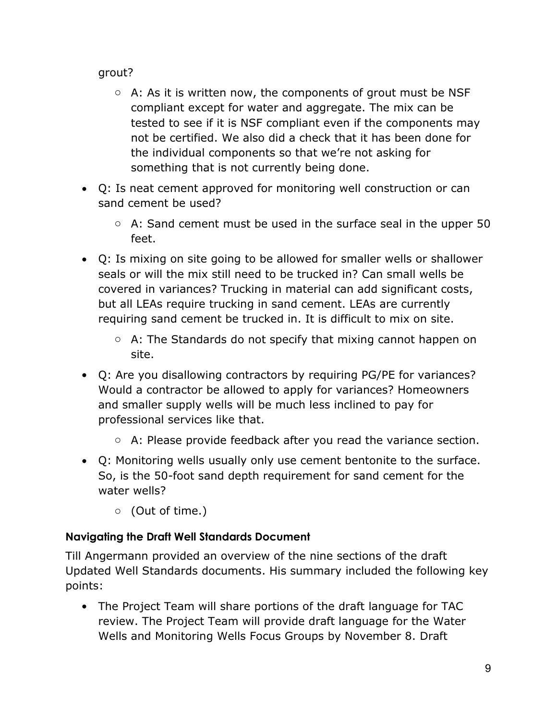grout?

- $\circ$  A: As it is written now, the components of grout must be NSF compliant except for water and aggregate. The mix can be tested to see if it is NSF compliant even if the components may not be certified. We also did a check that it has been done for the individual components so that we're not asking for something that is not currently being done.
- Q: Is neat cement approved for monitoring well construction or can sand cement be used?
	- o A: Sand cement must be used in the surface seal in the upper 50 feet.
- Q: Is mixing on site going to be allowed for smaller wells or shallower seals or will the mix still need to be trucked in? Can small wells be covered in variances? Trucking in material can add significant costs, but all LEAs require trucking in sand cement. LEAs are currently requiring sand cement be trucked in. It is difficult to mix on site.
	- o A: The Standards do not specify that mixing cannot happen on site.
- Q: Are you disallowing contractors by requiring PG/PE for variances? Would a contractor be allowed to apply for variances? Homeowners and smaller supply wells will be much less inclined to pay for professional services like that.
	- $\circ$  A: Please provide feedback after you read the variance section.
- Q: Monitoring wells usually only use cement bentonite to the surface. So, is the 50-foot sand depth requirement for sand cement for the water wells?
	- o (Out of time.)

# **Navigating the Draft Well Standards Document**

Till Angermann provided an overview of the nine sections of the draft Updated Well Standards documents. His summary included the following key points:

• The Project Team will share portions of the draft language for TAC review. The Project Team will provide draft language for the Water Wells and Monitoring Wells Focus Groups by November 8. Draft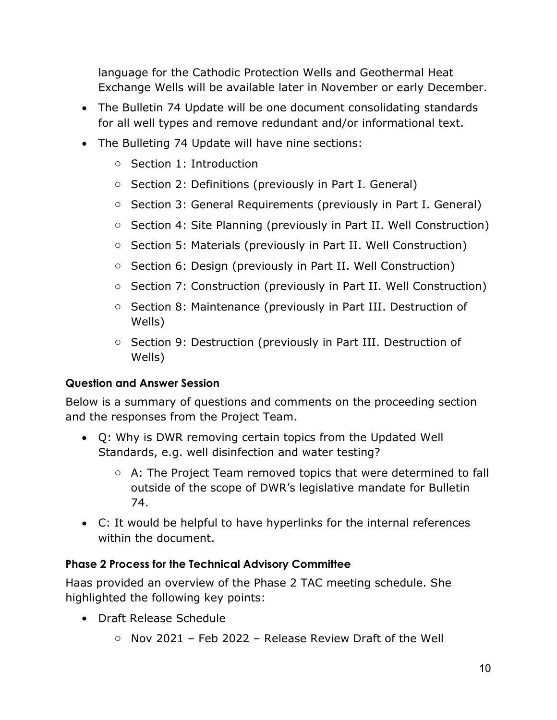language for the Cathodic Protection Wells and Geothermal Heat Exchange Wells will be available later in November or early December.

- The Bulletin 74 Update will be one document consolidating standards for all well types and remove redundant and/or informational text.
- The Bulleting 74 Update will have nine sections:
	- o Section 1: Introduction
	- o Section 2: Definitions (previously in Part I. General)
	- o Section 3: General Requirements (previously in Part I. General)
	- o Section 4: Site Planning (previously in Part II. Well Construction)
	- o Section 5: Materials (previously in Part II. Well Construction)
	- o Section 6: Design (previously in Part II. Well Construction)
	- o Section 7: Construction (previously in Part II. Well Construction)
	- o Section 8: Maintenance (previously in Part III. Destruction of Wells)
	- o Section 9: Destruction (previously in Part III. Destruction of Wells)

### **Question and Answer Session**

Below is a summary of questions and comments on the proceeding section and the responses from the Project Team.

- Q: Why is DWR removing certain topics from the Updated Well Standards, e.g. well disinfection and water testing?
	- o A: The Project Team removed topics that were determined to fall outside of the scope of DWR's legislative mandate for Bulletin 74.
- C: It would be helpful to have hyperlinks for the internal references within the document.

### **Phase 2 Process for the Technical Advisory Committee**

Haas provided an overview of the Phase 2 TAC meeting schedule. She highlighted the following key points:

- Draft Release Schedule
	- o Nov 2021 Feb 2022 Release Review Draft of the Well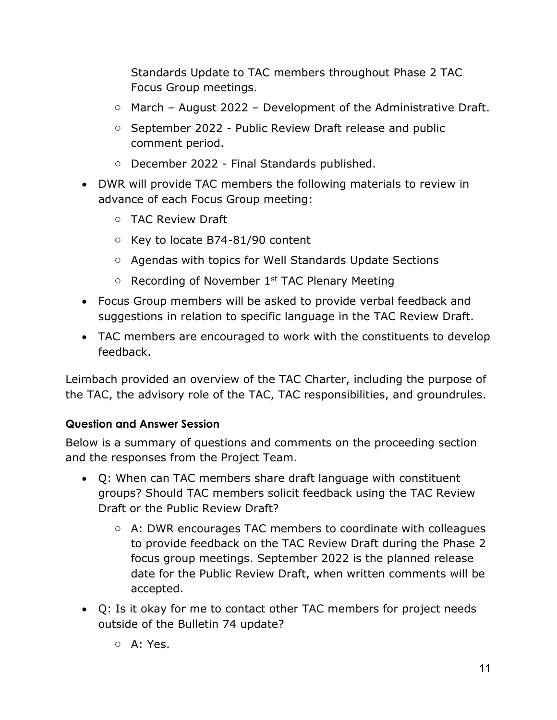Standards Update to TAC members throughout Phase 2 TAC Focus Group meetings.

- $\circ$  March August 2022 Development of the Administrative Draft.
- o September 2022 Public Review Draft release and public comment period.
- o December 2022 Final Standards published.
- DWR will provide TAC members the following materials to review in advance of each Focus Group meeting:
	- o TAC Review Draft
	- o Key to locate B74-81/90 content
	- o Agendas with topics for Well Standards Update Sections
	- $\circ$  Recording of November 1<sup>st</sup> TAC Plenary Meeting
- Focus Group members will be asked to provide verbal feedback and suggestions in relation to specific language in the TAC Review Draft.
- TAC members are encouraged to work with the constituents to develop feedback.

Leimbach provided an overview of the TAC Charter, including the purpose of the TAC, the advisory role of the TAC, TAC responsibilities, and groundrules.

## **Question and Answer Session**

Below is a summary of questions and comments on the proceeding section and the responses from the Project Team.

- Q: When can TAC members share draft language with constituent groups? Should TAC members solicit feedback using the TAC Review Draft or the Public Review Draft?
	- o A: DWR encourages TAC members to coordinate with colleagues to provide feedback on the TAC Review Draft during the Phase 2 focus group meetings. September 2022 is the planned release date for the Public Review Draft, when written comments will be accepted.
- Q: Is it okay for me to contact other TAC members for project needs outside of the Bulletin 74 update?
	- o A: Yes.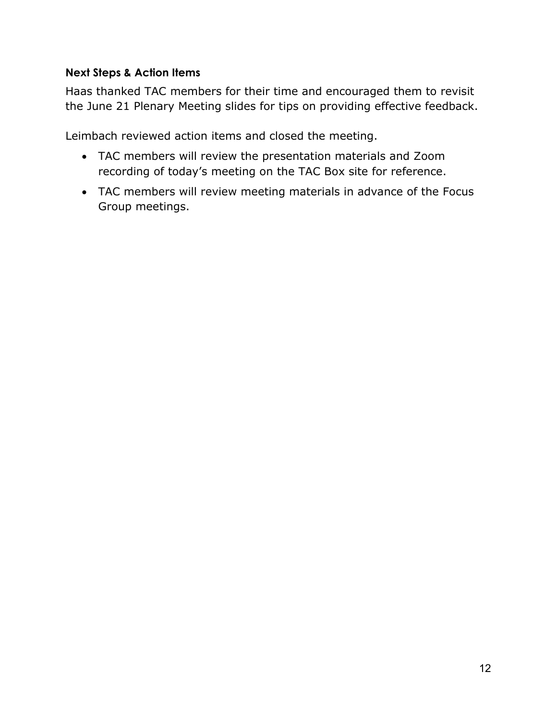### **Next Steps & Action Items**

Haas thanked TAC members for their time and encouraged them to revisit the June 21 Plenary Meeting slides for tips on providing effective feedback.

Leimbach reviewed action items and closed the meeting.

- TAC members will review the presentation materials and Zoom recording of today's meeting on the TAC Box site for reference.
- TAC members will review meeting materials in advance of the Focus Group meetings.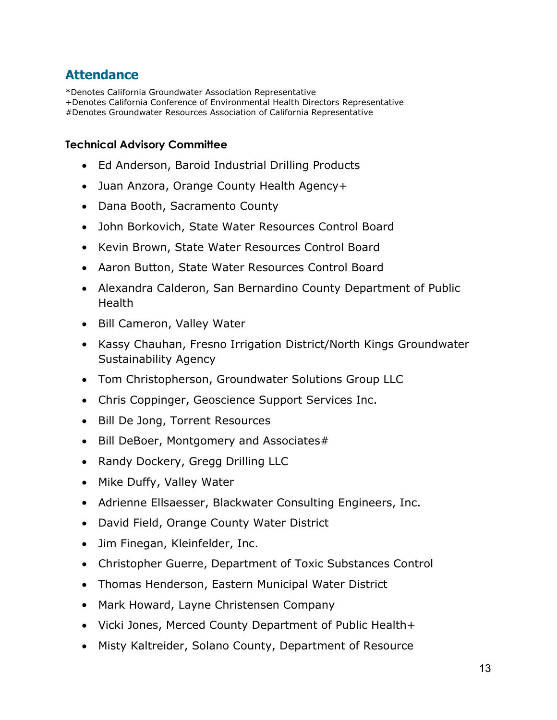# **Attendance**

\*Denotes California Groundwater Association Representative +Denotes California Conference of Environmental Health Directors Representative #Denotes Groundwater Resources Association of California Representative

#### **Technical Advisory Committee**

- Ed Anderson, Baroid Industrial Drilling Products
- Juan Anzora, Orange County Health Agency+
- Dana Booth, Sacramento County
- John Borkovich, State Water Resources Control Board
- Kevin Brown, State Water Resources Control Board
- Aaron Button, State Water Resources Control Board
- Alexandra Calderon, San Bernardino County Department of Public Health
- Bill Cameron, Valley Water
- Kassy Chauhan, Fresno Irrigation District/North Kings Groundwater Sustainability Agency
- Tom Christopherson, Groundwater Solutions Group LLC
- Chris Coppinger, Geoscience Support Services Inc.
- Bill De Jong, Torrent Resources
- Bill DeBoer, Montgomery and Associates#
- Randy Dockery, Gregg Drilling LLC
- Mike Duffy, Valley Water
- Adrienne Ellsaesser, Blackwater Consulting Engineers, Inc.
- David Field, Orange County Water District
- Jim Finegan, Kleinfelder, Inc.
- Christopher Guerre, Department of Toxic Substances Control
- Thomas Henderson, Eastern Municipal Water District
- Mark Howard, Layne Christensen Company
- Vicki Jones, Merced County Department of Public Health+
- Misty Kaltreider, Solano County, Department of Resource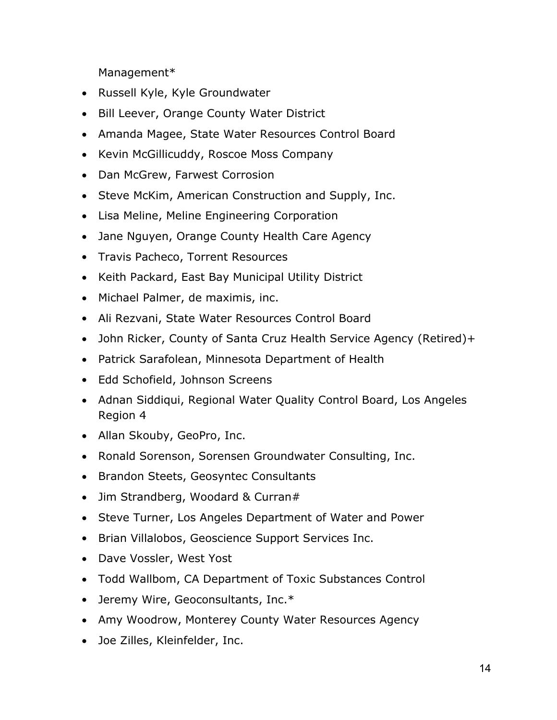Management\*

- Russell Kyle, Kyle Groundwater
- Bill Leever, Orange County Water District
- Amanda Magee, State Water Resources Control Board
- Kevin McGillicuddy, Roscoe Moss Company
- Dan McGrew, Farwest Corrosion
- Steve McKim, American Construction and Supply, Inc.
- Lisa Meline, Meline Engineering Corporation
- Jane Nguyen, Orange County Health Care Agency
- Travis Pacheco, Torrent Resources
- Keith Packard, East Bay Municipal Utility District
- Michael Palmer, de maximis, inc.
- Ali Rezvani, State Water Resources Control Board
- John Ricker, County of Santa Cruz Health Service Agency (Retired)+
- Patrick Sarafolean, Minnesota Department of Health
- Edd Schofield, Johnson Screens
- Adnan Siddiqui, Regional Water Quality Control Board, Los Angeles Region 4
- Allan Skouby, GeoPro, Inc.
- Ronald Sorenson, Sorensen Groundwater Consulting, Inc.
- Brandon Steets, Geosyntec Consultants
- Jim Strandberg, Woodard & Curran#
- Steve Turner, Los Angeles Department of Water and Power
- Brian Villalobos, Geoscience Support Services Inc.
- Dave Vossler, West Yost
- Todd Wallbom, CA Department of Toxic Substances Control
- Jeremy Wire, Geoconsultants, Inc.\*
- Amy Woodrow, Monterey County Water Resources Agency
- Joe Zilles, Kleinfelder, Inc.